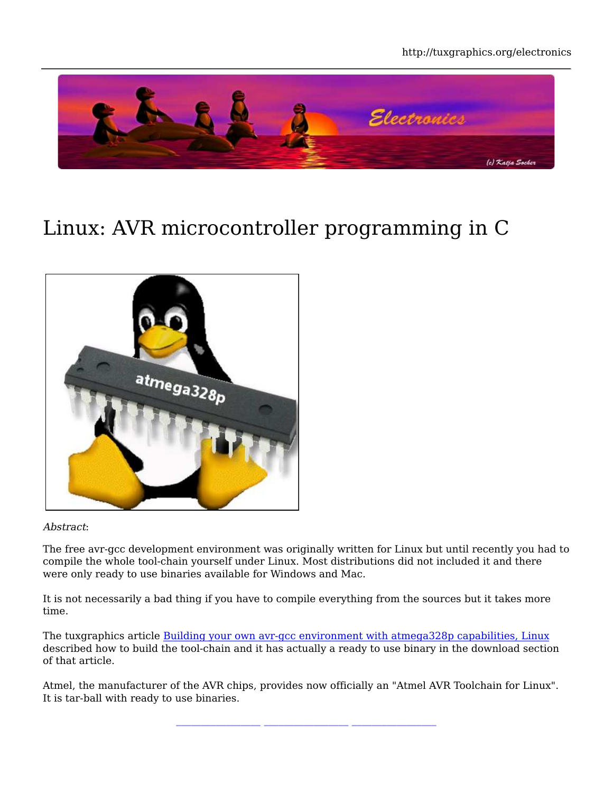

# Linux: AVR microcontroller programming in C



#### Abstract:

The free avr-gcc development environment was originally written for Linux but until recently you had to compile the whole tool-chain yourself under Linux. Most distributions did not included it and there were only ready to use binaries available for Windows and Mac.

It is not necessarily a bad thing if you have to compile everything from the sources but it takes more time.

The tuxgraphics article Building your own avr-gcc environment with atmega328p capabilities, Linux described how to build the tool-chain and it has actually a ready to use binary in the download section of that article.

Atmel, the manufacturer of the AVR chips, provides now officially an "Atmel AVR Toolchain for Linux". It is tar-ball with ready to use binaries.

**\_\_\_\_\_\_\_\_\_\_\_\_\_\_\_\_\_ \_\_\_\_\_\_\_\_\_\_\_\_\_\_\_\_\_ \_\_\_\_\_\_\_\_\_\_\_\_\_\_\_\_\_**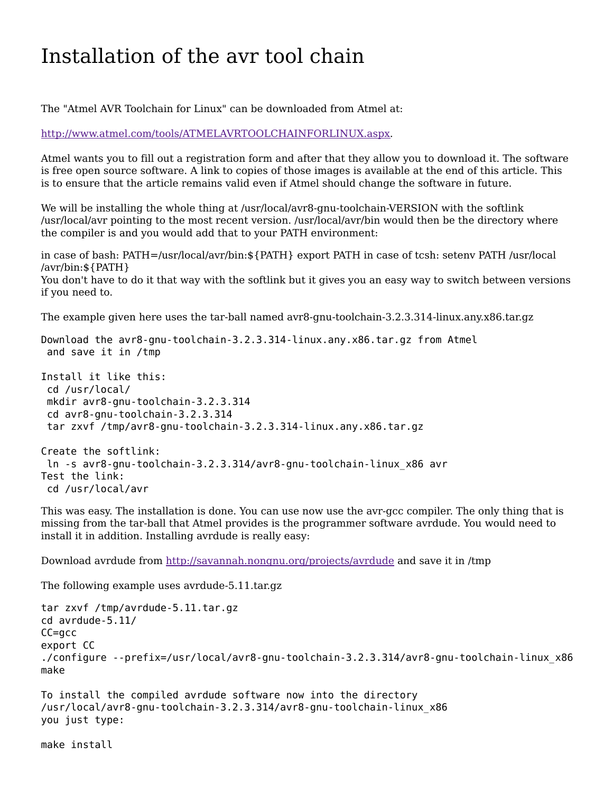## Installation of the avr tool chain

The "Atmel AVR Toolchain for Linux" can be downloaded from Atmel at:

http://www.atmel.com/tools/ATMELAVRTOOLCHAINFORLINUX.aspx.

Atmel wants you to fill out a registration form and after that they allow you to download it. The software is free open source software. A link to copies of those images is available at the end of this article. This is to ensure that the article remains valid even if Atmel should change the software in future.

We will be installing the whole thing at /usr/local/avr8-gnu-toolchain-VERSION with the softlink /usr/local/avr pointing to the most recent version. /usr/local/avr/bin would then be the directory where the compiler is and you would add that to your PATH environment:

in case of bash: PATH=/usr/local/avr/bin:\${PATH} export PATH in case of tcsh: setenv PATH /usr/local /avr/bin:\${PATH} You don't have to do it that way with the softlink but it gives you an easy way to switch between versions if you need to.

The example given here uses the tar-ball named avr8-gnu-toolchain-3.2.3.314-linux.any.x86.tar.gz

Download the avr8-gnu-toolchain-3.2.3.314-linux.any.x86.tar.gz from Atmel and save it in /tmp

```
Install it like this:
  cd /usr/local/
  mkdir avr8-gnu-toolchain-3.2.3.314
  cd avr8-gnu-toolchain-3.2.3.314
  tar zxvf /tmp/avr8-gnu-toolchain-3.2.3.314-linux.any.x86.tar.gz
Create the softlink:
 ln -s avr8-gnu-toolchain-3.2.3.314/avr8-gnu-toolchain-linux_x86 avr
Test the link:
 cd /usr/local/avr
```
This was easy. The installation is done. You can use now use the avr-gcc compiler. The only thing that is missing from the tar-ball that Atmel provides is the programmer software avrdude. You would need to install it in addition. Installing avrdude is really easy:

Download avrdude from http://savannah.nongnu.org/projects/avrdude and save it in /tmp

The following example uses avrdude-5.11.tar.gz

```
tar zxvf /tmp/avrdude-5.11.tar.gz
cd avrdude-5.11/
CC=gcc
export CC
./configure --prefix=/usr/local/avr8-gnu-toolchain-3.2.3.314/avr8-gnu-toolchain-linux_x86
make
```

```
To install the compiled avrdude software now into the directory
/usr/local/avr8-gnu-toolchain-3.2.3.314/avr8-gnu-toolchain-linux_x86
you just type:
```
make install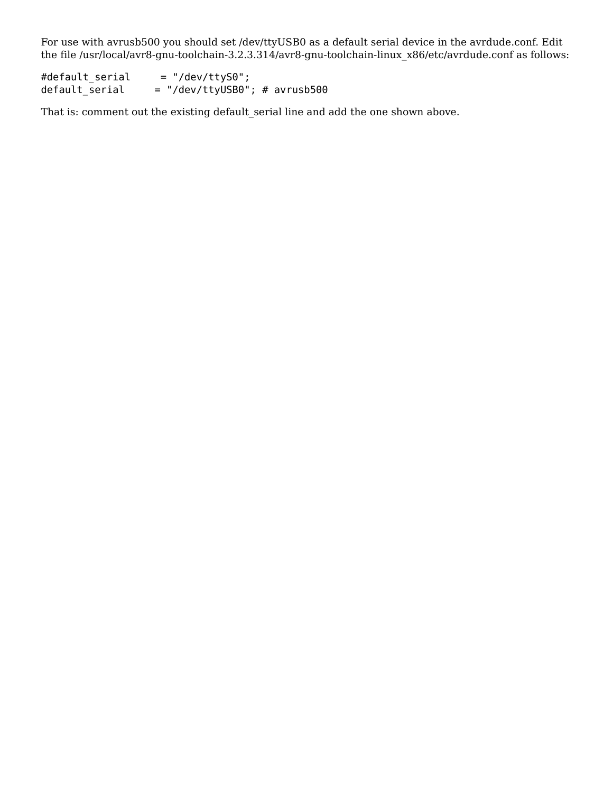For use with avrusb500 you should set /dev/ttyUSB0 as a default serial device in the avrdude.conf. Edit the file /usr/local/avr8-gnu-toolchain-3.2.3.314/avr8-gnu-toolchain-linux\_x86/etc/avrdude.conf as follows:

#default\_serial = "/dev/ttyS0";  $=$  "/dev/ttyUSB0"; # avrusb500

That is: comment out the existing default\_serial line and add the one shown above.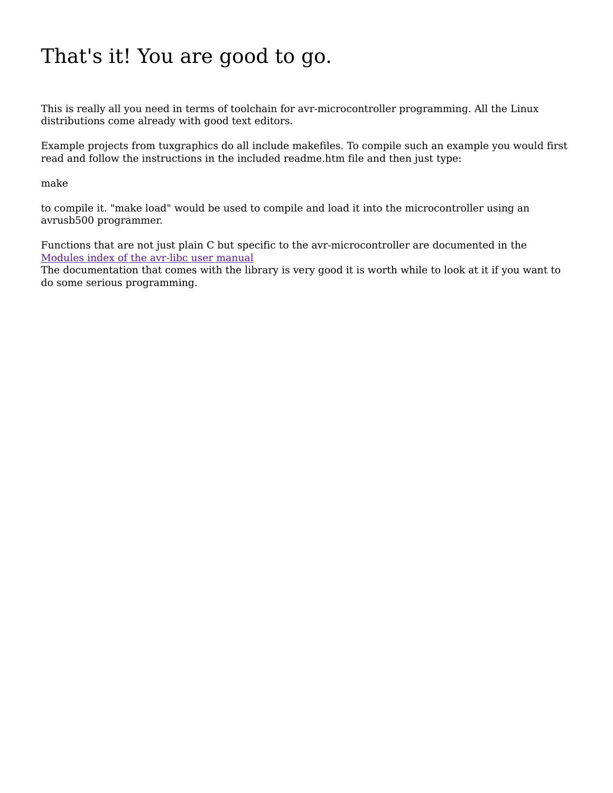# That's it! You are good to go.

This is really all you need in terms of toolchain for avr-microcontroller programming. All the Linux distributions come already with good text editors.

Example projects from tuxgraphics do all include makefiles. To compile such an example you would first read and follow the instructions in the included readme.htm file and then just type:

make

to compile it. "make load" would be used to compile and load it into the microcontroller using an avrusb500 programmer.

Functions that are not just plain C but specific to the avr-microcontroller are documented in the Modules index of the avr-libc user manual

The documentation that comes with the library is very good it is worth while to look at it if you want to do some serious programming.